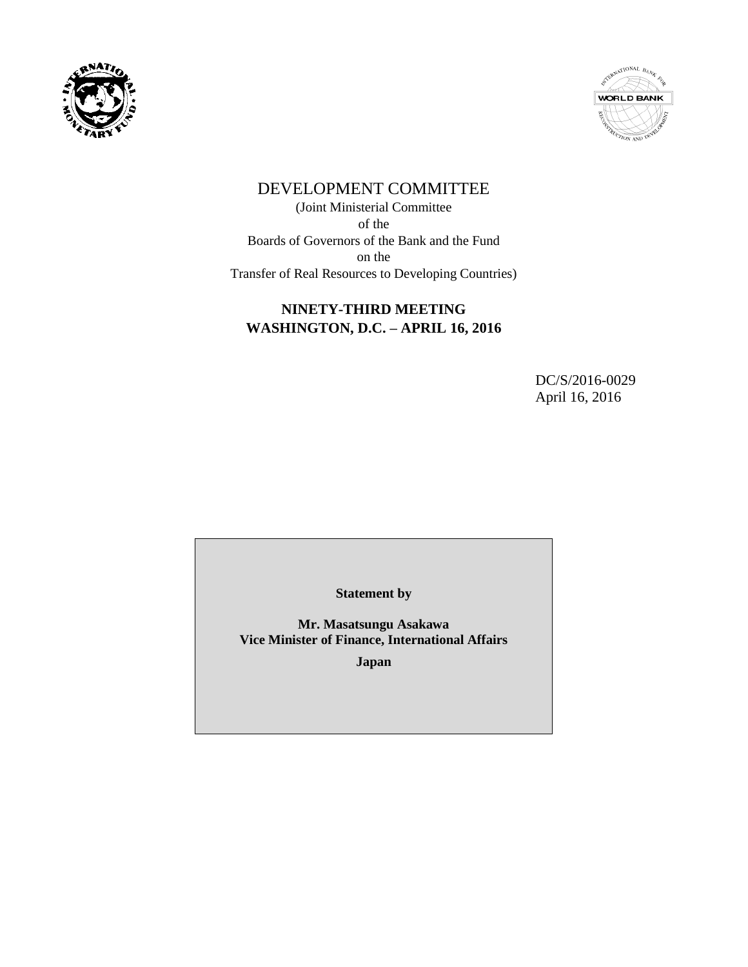



# DEVELOPMENT COMMITTEE

(Joint Ministerial Committee of the Boards of Governors of the Bank and the Fund on the Transfer of Real Resources to Developing Countries)

## **NINETY-THIRD MEETING WASHINGTON, D.C. – APRIL 16, 2016**

DC/S/2016-0029 April 16, 2016

**Statement by**

**Mr. Masatsungu Asakawa Vice Minister of Finance, International Affairs**

**Japan**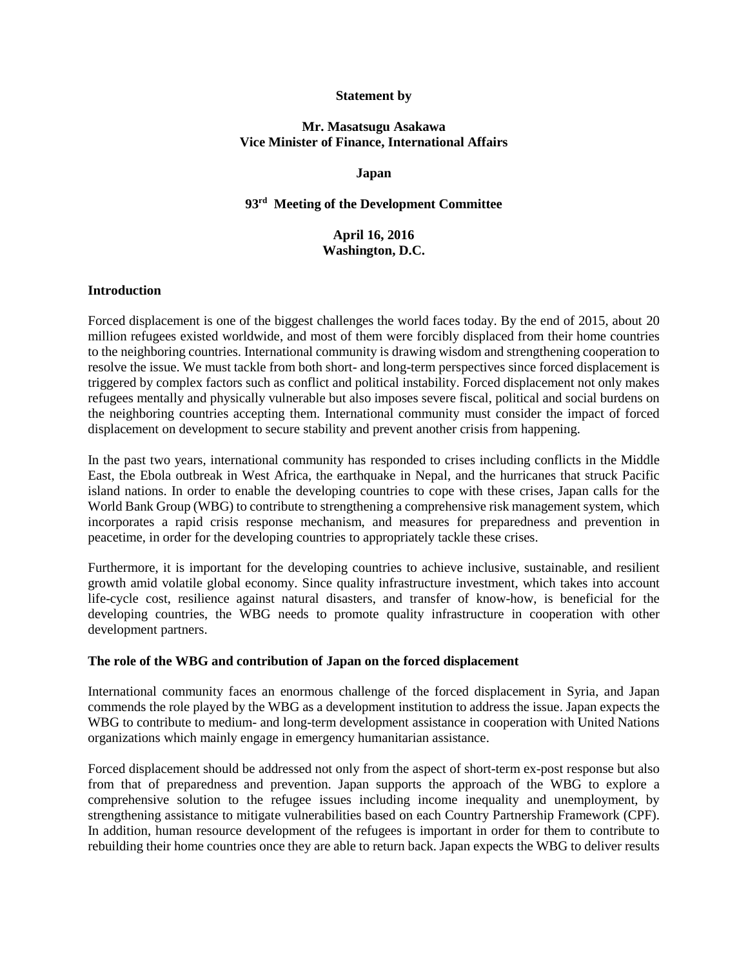#### **Statement by**

#### **Mr. Masatsugu Asakawa Vice Minister of Finance, International Affairs**

#### **Japan**

### **93rd Meeting of the Development Committee**

### **April 16, 2016 Washington, D.C.**

#### **Introduction**

Forced displacement is one of the biggest challenges the world faces today. By the end of 2015, about 20 million refugees existed worldwide, and most of them were forcibly displaced from their home countries to the neighboring countries. International community is drawing wisdom and strengthening cooperation to resolve the issue. We must tackle from both short- and long-term perspectives since forced displacement is triggered by complex factors such as conflict and political instability. Forced displacement not only makes refugees mentally and physically vulnerable but also imposes severe fiscal, political and social burdens on the neighboring countries accepting them. International community must consider the impact of forced displacement on development to secure stability and prevent another crisis from happening.

In the past two years, international community has responded to crises including conflicts in the Middle East, the Ebola outbreak in West Africa, the earthquake in Nepal, and the hurricanes that struck Pacific island nations. In order to enable the developing countries to cope with these crises, Japan calls for the World Bank Group (WBG) to contribute to strengthening a comprehensive risk management system, which incorporates a rapid crisis response mechanism, and measures for preparedness and prevention in peacetime, in order for the developing countries to appropriately tackle these crises.

Furthermore, it is important for the developing countries to achieve inclusive, sustainable, and resilient growth amid volatile global economy. Since quality infrastructure investment, which takes into account life-cycle cost, resilience against natural disasters, and transfer of know-how, is beneficial for the developing countries, the WBG needs to promote quality infrastructure in cooperation with other development partners.

#### **The role of the WBG and contribution of Japan on the forced displacement**

International community faces an enormous challenge of the forced displacement in Syria, and Japan commends the role played by the WBG as a development institution to address the issue. Japan expects the WBG to contribute to medium- and long-term development assistance in cooperation with United Nations organizations which mainly engage in emergency humanitarian assistance.

Forced displacement should be addressed not only from the aspect of short-term ex-post response but also from that of preparedness and prevention. Japan supports the approach of the WBG to explore a comprehensive solution to the refugee issues including income inequality and unemployment, by strengthening assistance to mitigate vulnerabilities based on each Country Partnership Framework (CPF). In addition, human resource development of the refugees is important in order for them to contribute to rebuilding their home countries once they are able to return back. Japan expects the WBG to deliver results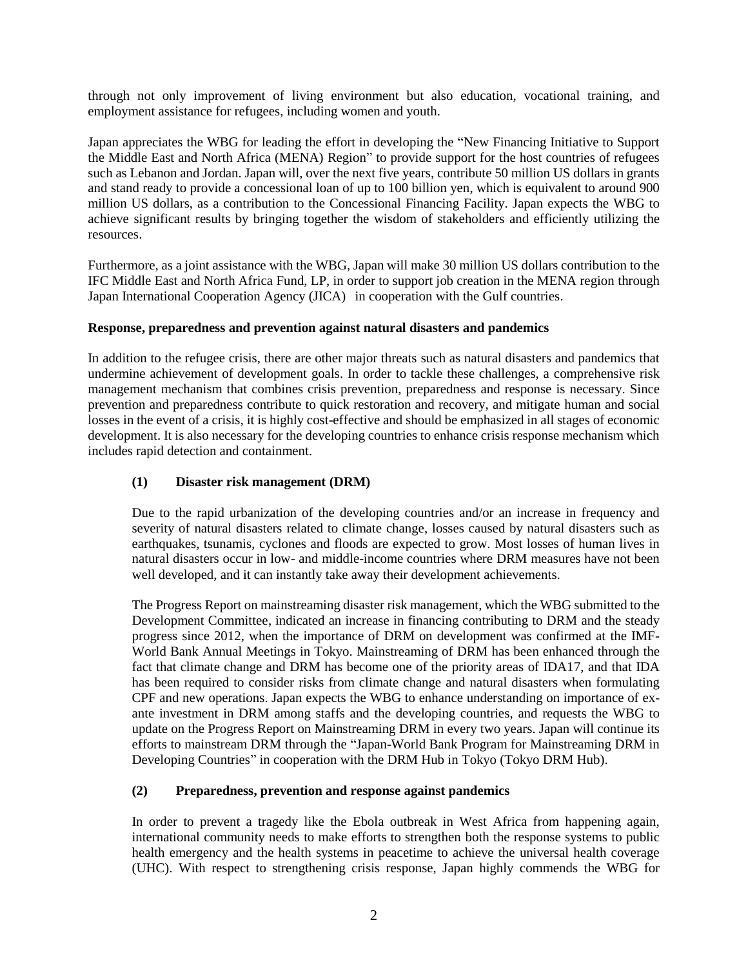through not only improvement of living environment but also education, vocational training, and employment assistance for refugees, including women and youth.

Japan appreciates the WBG for leading the effort in developing the "New Financing Initiative to Support the Middle East and North Africa (MENA) Region" to provide support for the host countries of refugees such as Lebanon and Jordan. Japan will, over the next five years, contribute 50 million US dollars in grants and stand ready to provide a concessional loan of up to 100 billion yen, which is equivalent to around 900 million US dollars, as a contribution to the Concessional Financing Facility. Japan expects the WBG to achieve significant results by bringing together the wisdom of stakeholders and efficiently utilizing the resources.

Furthermore, as a joint assistance with the WBG, Japan will make 30 million US dollars contribution to the IFC Middle East and North Africa Fund, LP, in order to support job creation in the MENA region through Japan International Cooperation Agency (JICA) in cooperation with the Gulf countries.

### **Response, preparedness and prevention against natural disasters and pandemics**

In addition to the refugee crisis, there are other major threats such as natural disasters and pandemics that undermine achievement of development goals. In order to tackle these challenges, a comprehensive risk management mechanism that combines crisis prevention, preparedness and response is necessary. Since prevention and preparedness contribute to quick restoration and recovery, and mitigate human and social losses in the event of a crisis, it is highly cost-effective and should be emphasized in all stages of economic development. It is also necessary for the developing countries to enhance crisis response mechanism which includes rapid detection and containment.

### **(1) Disaster risk management (DRM)**

Due to the rapid urbanization of the developing countries and/or an increase in frequency and severity of natural disasters related to climate change, losses caused by natural disasters such as earthquakes, tsunamis, cyclones and floods are expected to grow. Most losses of human lives in natural disasters occur in low- and middle-income countries where DRM measures have not been well developed, and it can instantly take away their development achievements.

The Progress Report on mainstreaming disaster risk management, which the WBG submitted to the Development Committee, indicated an increase in financing contributing to DRM and the steady progress since 2012, when the importance of DRM on development was confirmed at the IMF-World Bank Annual Meetings in Tokyo. Mainstreaming of DRM has been enhanced through the fact that climate change and DRM has become one of the priority areas of IDA17, and that IDA has been required to consider risks from climate change and natural disasters when formulating CPF and new operations. Japan expects the WBG to enhance understanding on importance of exante investment in DRM among staffs and the developing countries, and requests the WBG to update on the Progress Report on Mainstreaming DRM in every two years. Japan will continue its efforts to mainstream DRM through the "Japan-World Bank Program for Mainstreaming DRM in Developing Countries" in cooperation with the DRM Hub in Tokyo (Tokyo DRM Hub).

### **(2) Preparedness, prevention and response against pandemics**

In order to prevent a tragedy like the Ebola outbreak in West Africa from happening again, international community needs to make efforts to strengthen both the response systems to public health emergency and the health systems in peacetime to achieve the universal health coverage (UHC). With respect to strengthening crisis response, Japan highly commends the WBG for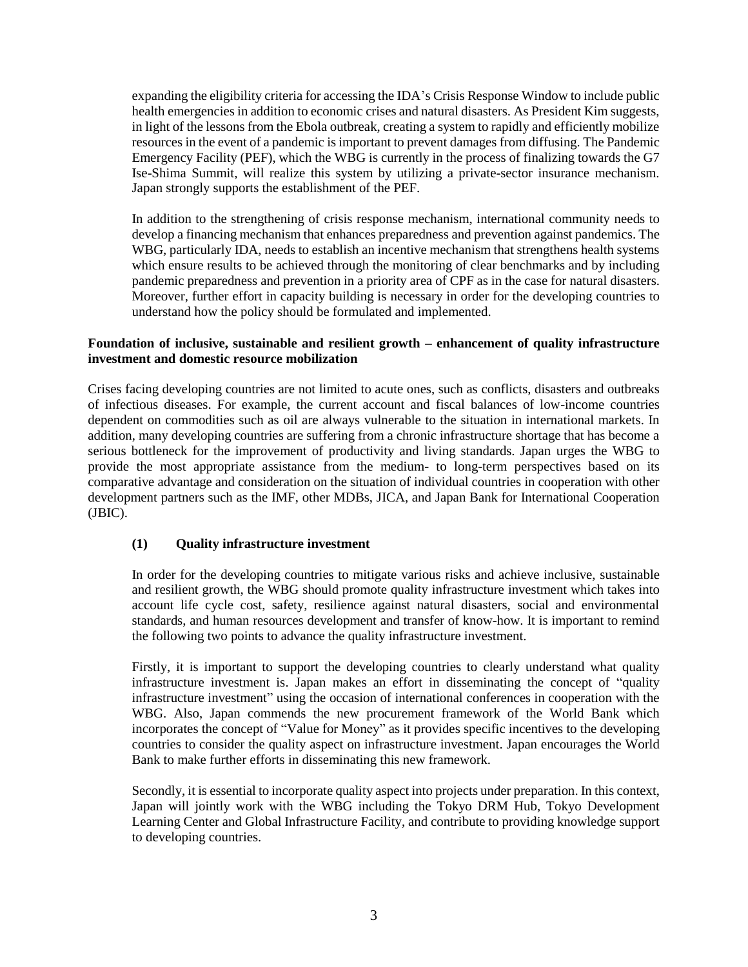expanding the eligibility criteria for accessing the IDA's Crisis Response Window to include public health emergencies in addition to economic crises and natural disasters. As President Kim suggests, in light of the lessons from the Ebola outbreak, creating a system to rapidly and efficiently mobilize resources in the event of a pandemic is important to prevent damages from diffusing. The Pandemic Emergency Facility (PEF), which the WBG is currently in the process of finalizing towards the G7 Ise-Shima Summit, will realize this system by utilizing a private-sector insurance mechanism. Japan strongly supports the establishment of the PEF.

In addition to the strengthening of crisis response mechanism, international community needs to develop a financing mechanism that enhances preparedness and prevention against pandemics. The WBG, particularly IDA, needs to establish an incentive mechanism that strengthens health systems which ensure results to be achieved through the monitoring of clear benchmarks and by including pandemic preparedness and prevention in a priority area of CPF as in the case for natural disasters. Moreover, further effort in capacity building is necessary in order for the developing countries to understand how the policy should be formulated and implemented.

### **Foundation of inclusive, sustainable and resilient growth – enhancement of quality infrastructure investment and domestic resource mobilization**

Crises facing developing countries are not limited to acute ones, such as conflicts, disasters and outbreaks of infectious diseases. For example, the current account and fiscal balances of low-income countries dependent on commodities such as oil are always vulnerable to the situation in international markets. In addition, many developing countries are suffering from a chronic infrastructure shortage that has become a serious bottleneck for the improvement of productivity and living standards. Japan urges the WBG to provide the most appropriate assistance from the medium- to long-term perspectives based on its comparative advantage and consideration on the situation of individual countries in cooperation with other development partners such as the IMF, other MDBs, JICA, and Japan Bank for International Cooperation (JBIC).

### **(1) Quality infrastructure investment**

In order for the developing countries to mitigate various risks and achieve inclusive, sustainable and resilient growth, the WBG should promote quality infrastructure investment which takes into account life cycle cost, safety, resilience against natural disasters, social and environmental standards, and human resources development and transfer of know-how. It is important to remind the following two points to advance the quality infrastructure investment.

Firstly, it is important to support the developing countries to clearly understand what quality infrastructure investment is. Japan makes an effort in disseminating the concept of "quality infrastructure investment" using the occasion of international conferences in cooperation with the WBG. Also, Japan commends the new procurement framework of the World Bank which incorporates the concept of "Value for Money" as it provides specific incentives to the developing countries to consider the quality aspect on infrastructure investment. Japan encourages the World Bank to make further efforts in disseminating this new framework.

Secondly, it is essential to incorporate quality aspect into projects under preparation. In this context, Japan will jointly work with the WBG including the Tokyo DRM Hub, Tokyo Development Learning Center and Global Infrastructure Facility, and contribute to providing knowledge support to developing countries.